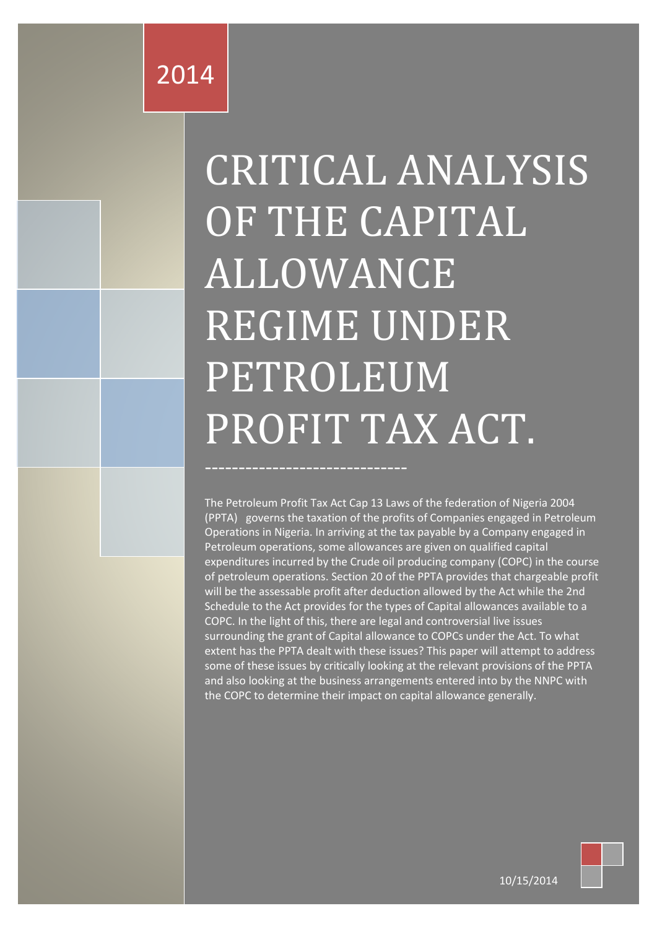# 2014

# CRITICAL ANALYSIS OF THE CAPITAL ALLOWANCE REGIME UNDER PETROLEUM PROFIT TAX ACT.

The Petroleum Profit Tax Act Cap 13 Laws of the federation of Nigeria 2004 (PPTA) governs the taxation of the profits of Companies engaged in Petroleum Operations in Nigeria. In arriving at the tax payable by a Company engaged in Petroleum operations, some allowances are given on qualified capital expenditures incurred by the Crude oil producing company (COPC) in the course of petroleum operations. Section 20 of the PPTA provides that chargeable profit will be the assessable profit after deduction allowed by the Act while the 2nd Schedule to the Act provides for the types of Capital allowances available to a COPC. In the light of this, there are legal and controversial live issues surrounding the grant of Capital allowance to COPCs under the Act. To what extent has the PPTA dealt with these issues? This paper will attempt to address some of these issues by critically looking at the relevant provisions of the PPTA and also looking at the business arrangements entered into by the NNPC with the COPC to determine their impact on capital allowance generally.



10/15/2014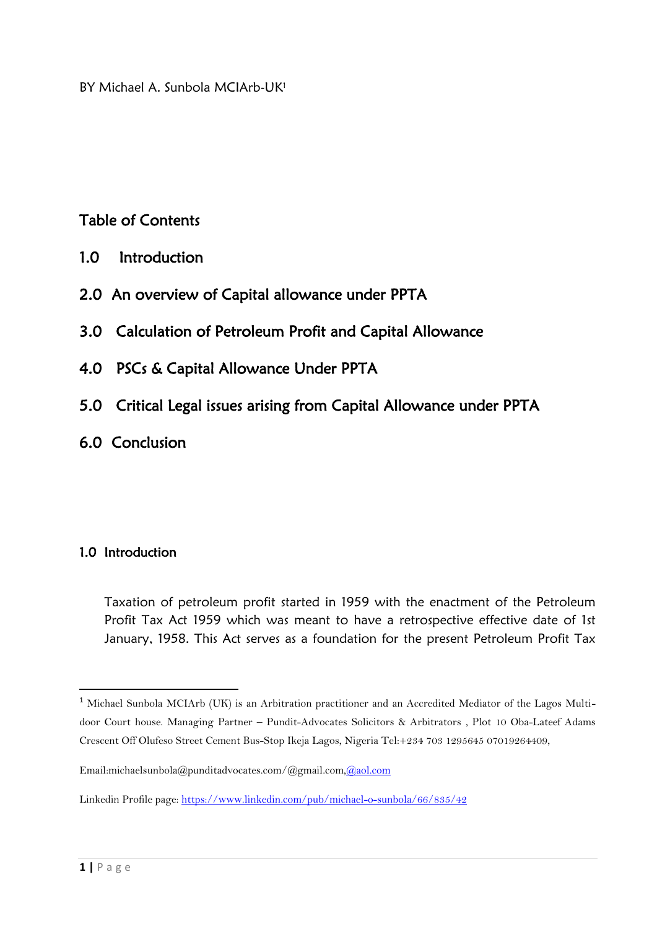BY Michael A. Sunbola MCIArb-UK<sup>1</sup>

### Table of Contents

- 1.0 Introduction
- 2.0 An overview of Capital allowance under PPTA
- 3.0 Calculation of Petroleum Profit and Capital Allowance
- 4.0 PSCs & Capital Allowance Under PPTA
- 5.0 Critical Legal issues arising from Capital Allowance under PPTA
- 6.0 Conclusion

#### 1.0 Introduction

Taxation of petroleum profit started in 1959 with the enactment of the Petroleum Profit Tax Act 1959 which was meant to have a retrospective effective date of 1st January, 1958. This Act serves as a foundation for the present Petroleum Profit Tax

 $\overline{\phantom{a}}$ 

<sup>&</sup>lt;sup>1</sup> Michael Sunbola MCIArb (UK) is an Arbitration practitioner and an Accredited Mediator of the Lagos Multidoor Court house. Managing Partner – Pundit-Advocates Solicitors & Arbitrators , Plot 10 Oba-Lateef Adams Crescent Off Olufeso Street Cement Bus-Stop Ikeja Lagos, Nigeria Tel:+234 703 1295645 07019264409,

Email:michaelsunbola@punditadvocates.com/@gmail.com[,@aol.com](mailto:michaelsunbola@aol.com)

Linkedin Profile page:<https://www.linkedin.com/pub/michael-o-sunbola/66/835/42>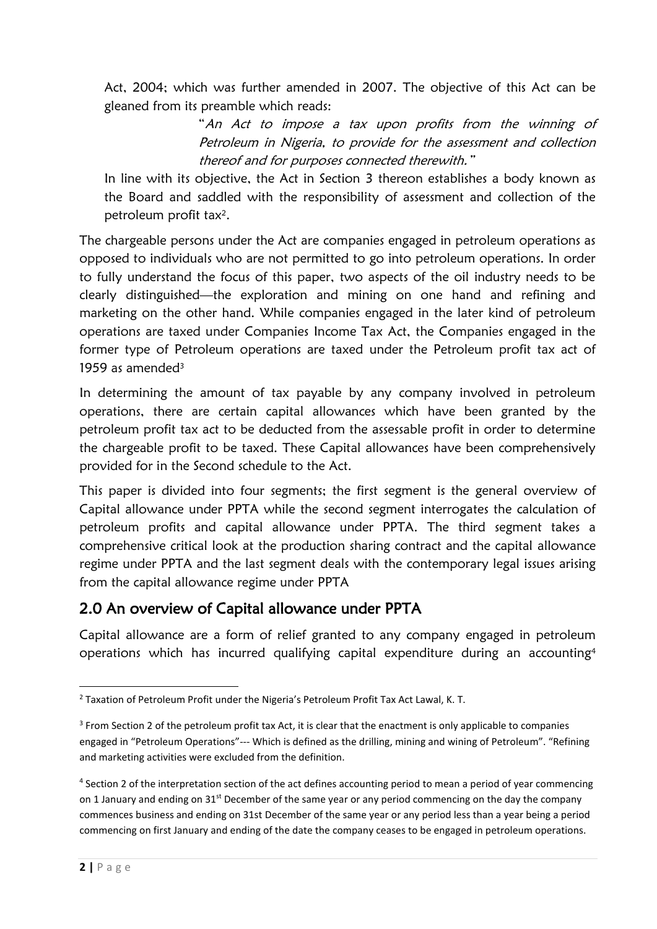Act, 2004; which was further amended in 2007. The objective of this Act can be gleaned from its preamble which reads:

> "An Act to impose a tax upon profits from the winning of Petroleum in Nigeria, to provide for the assessment and collection thereof and for purposes connected therewith."

In line with its objective, the Act in Section 3 thereon establishes a body known as the Board and saddled with the responsibility of assessment and collection of the petroleum profit tax<sup>2</sup>.

The chargeable persons under the Act are companies engaged in petroleum operations as opposed to individuals who are not permitted to go into petroleum operations. In order to fully understand the focus of this paper, two aspects of the oil industry needs to be clearly distinguished—the exploration and mining on one hand and refining and marketing on the other hand. While companies engaged in the later kind of petroleum operations are taxed under Companies Income Tax Act, the Companies engaged in the former type of Petroleum operations are taxed under the Petroleum profit tax act of 1959 as amended<sup>3</sup>

In determining the amount of tax payable by any company involved in petroleum operations, there are certain capital allowances which have been granted by the petroleum profit tax act to be deducted from the assessable profit in order to determine the chargeable profit to be taxed. These Capital allowances have been comprehensively provided for in the Second schedule to the Act.

This paper is divided into four segments; the first segment is the general overview of Capital allowance under PPTA while the second segment interrogates the calculation of petroleum profits and capital allowance under PPTA. The third segment takes a comprehensive critical look at the production sharing contract and the capital allowance regime under PPTA and the last segment deals with the contemporary legal issues arising from the capital allowance regime under PPTA

#### 2.0 An overview of Capital allowance under PPTA

Capital allowance are a form of relief granted to any company engaged in petroleum operations which has incurred qualifying capital expenditure during an accounting<sup>4</sup>

**<sup>.</sup>** <sup>2</sup> Taxation of Petroleum Profit under the Nigeria's Petroleum Profit Tax Act Lawal, K. T.

<sup>&</sup>lt;sup>3</sup> From Section 2 of the petroleum profit tax Act, it is clear that the enactment is only applicable to companies engaged in "Petroleum Operations"--- Which is defined as the drilling, mining and wining of Petroleum". "Refining and marketing activities were excluded from the definition.

<sup>&</sup>lt;sup>4</sup> Section 2 of the interpretation section of the act defines accounting period to mean a period of year commencing on 1 January and ending on 31<sup>st</sup> December of the same year or any period commencing on the day the company commences business and ending on 31st December of the same year or any period less than a year being a period commencing on first January and ending of the date the company ceases to be engaged in petroleum operations.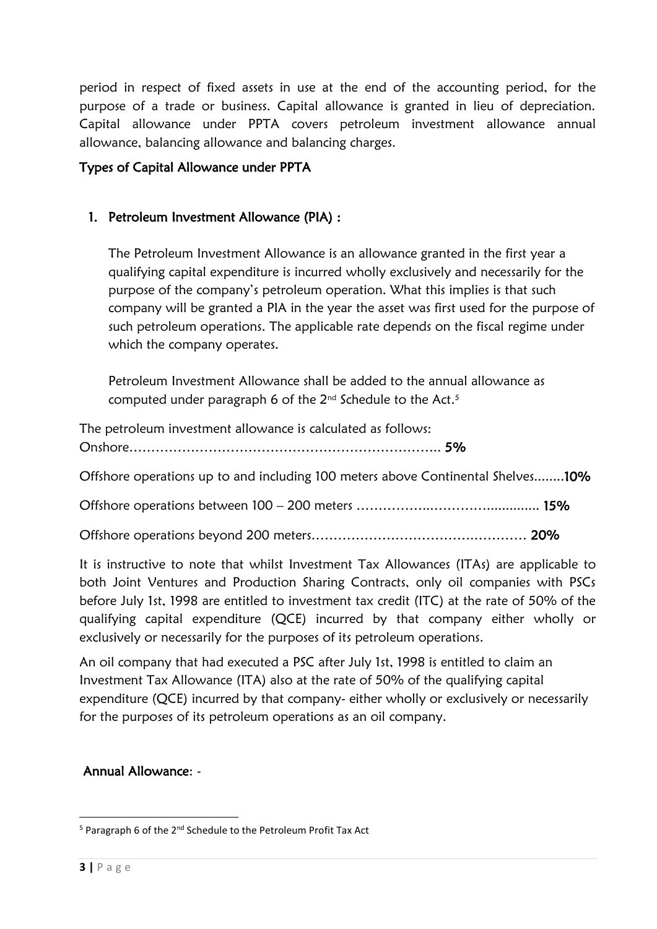period in respect of fixed assets in use at the end of the accounting period, for the purpose of a trade or business. Capital allowance is granted in lieu of depreciation. Capital allowance under PPTA covers petroleum investment allowance annual allowance, balancing allowance and balancing charges.

#### Types of Capital Allowance under PPTA

#### 1. Petroleum Investment Allowance (PIA) :

The Petroleum Investment Allowance is an allowance granted in the first year a qualifying capital expenditure is incurred wholly exclusively and necessarily for the purpose of the company's petroleum operation. What this implies is that such company will be granted a PIA in the year the asset was first used for the purpose of such petroleum operations. The applicable rate depends on the fiscal regime under which the company operates.

Petroleum Investment Allowance shall be added to the annual allowance as computed under paragraph 6 of the  $2^{nd}$  Schedule to the Act.<sup>5</sup>

The petroleum investment allowance is calculated as follows: Onshore…………………………………………………………….. 5%

Offshore operations up to and including 100 meters above Continental Shelves........10%

Offshore operations between 100 – 200 meters ……………...………….............. 15%

Offshore operations beyond 200 meters……………………………….………… 20%

It is instructive to note that whilst Investment Tax Allowances (ITAs) are applicable to both Joint Ventures and Production Sharing Contracts, only oil companies with PSCs before July 1st, 1998 are entitled to investment tax credit (ITC) at the rate of 50% of the qualifying capital expenditure (QCE) incurred by that company either wholly or exclusively or necessarily for the purposes of its petroleum operations.

An oil company that had executed a PSC after July 1st, 1998 is entitled to claim an Investment Tax Allowance (ITA) also at the rate of 50% of the qualifying capital expenditure (QCE) incurred by that company- either wholly or exclusively or necessarily for the purposes of its petroleum operations as an oil company.

#### Annual Allowance: -

1

<sup>&</sup>lt;sup>5</sup> Paragraph 6 of the 2<sup>nd</sup> Schedule to the Petroleum Profit Tax Act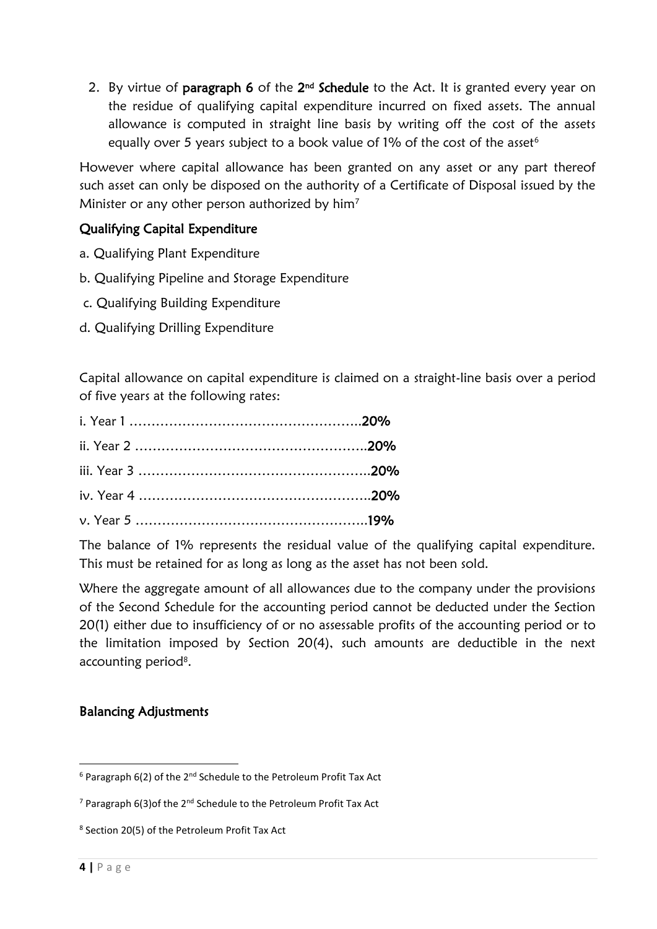2. By virtue of **paragraph 6** of the  $2<sup>nd</sup>$  **Schedule** to the Act. It is granted every year on the residue of qualifying capital expenditure incurred on fixed assets. The annual allowance is computed in straight line basis by writing off the cost of the assets equally over 5 years subject to a book value of 1% of the cost of the asset<sup>6</sup>

However where capital allowance has been granted on any asset or any part thereof such asset can only be disposed on the authority of a Certificate of Disposal issued by the Minister or any other person authorized by him<sup>7</sup>

#### Qualifying Capital Expenditure

- a. Qualifying Plant Expenditure
- b. Qualifying Pipeline and Storage Expenditure
- c. Qualifying Building Expenditure
- d. Qualifying Drilling Expenditure

Capital allowance on capital expenditure is claimed on a straight-line basis over a period of five years at the following rates:

The balance of 1% represents the residual value of the qualifying capital expenditure. This must be retained for as long as long as the asset has not been sold.

Where the aggregate amount of all allowances due to the company under the provisions of the Second Schedule for the accounting period cannot be deducted under the Section 20(1) either due to insufficiency of or no assessable profits of the accounting period or to the limitation imposed by Section 20(4), such amounts are deductible in the next accounting period<sup>8</sup>.

#### Balancing Adjustments

**.** 

 $6$  Paragraph 6(2) of the 2<sup>nd</sup> Schedule to the Petroleum Profit Tax Act

 $7$  Paragraph 6(3) of the 2<sup>nd</sup> Schedule to the Petroleum Profit Tax Act

<sup>8</sup> Section 20(5) of the Petroleum Profit Tax Act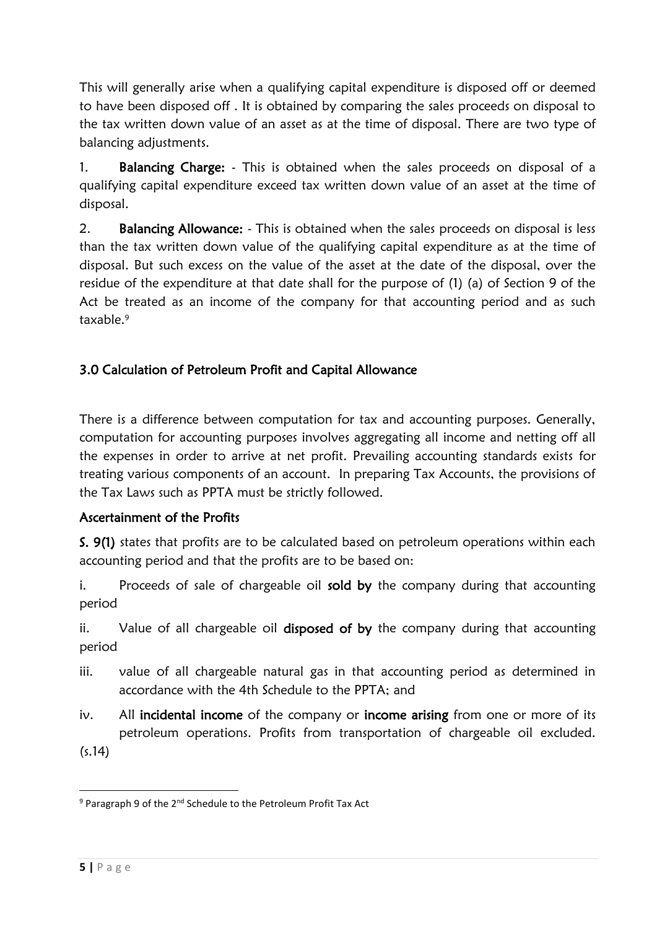This will generally arise when a qualifying capital expenditure is disposed off or deemed to have been disposed off . It is obtained by comparing the sales proceeds on disposal to the tax written down value of an asset as at the time of disposal. There are two type of balancing adjustments.

1. Balancing Charge: - This is obtained when the sales proceeds on disposal of a qualifying capital expenditure exceed tax written down value of an asset at the time of disposal.

2. Balancing Allowance: - This is obtained when the sales proceeds on disposal is less than the tax written down value of the qualifying capital expenditure as at the time of disposal. But such excess on the value of the asset at the date of the disposal, over the residue of the expenditure at that date shall for the purpose of (1) (a) of Section 9 of the Act be treated as an income of the company for that accounting period and as such taxable.<sup>9</sup>

#### 3.0 Calculation of Petroleum Profit and Capital Allowance

There is a difference between computation for tax and accounting purposes. Generally, computation for accounting purposes involves aggregating all income and netting off all the expenses in order to arrive at net profit. Prevailing accounting standards exists for treating various components of an account. In preparing Tax Accounts, the provisions of the Tax Laws such as PPTA must be strictly followed.

#### Ascertainment of the Profits

S. 9(1) states that profits are to be calculated based on petroleum operations within each accounting period and that the profits are to be based on:

i. Proceeds of sale of chargeable oil sold by the company during that accounting period

ii. Value of all chargeable oil disposed of by the company during that accounting period

- iii. value of all chargeable natural gas in that accounting period as determined in accordance with the 4th Schedule to the PPTA; and
- iv. All incidental income of the company or income arising from one or more of its petroleum operations. Profits from transportation of chargeable oil excluded.

(s.14)

**<sup>.</sup>** <sup>9</sup> Paragraph 9 of the 2<sup>nd</sup> Schedule to the Petroleum Profit Tax Act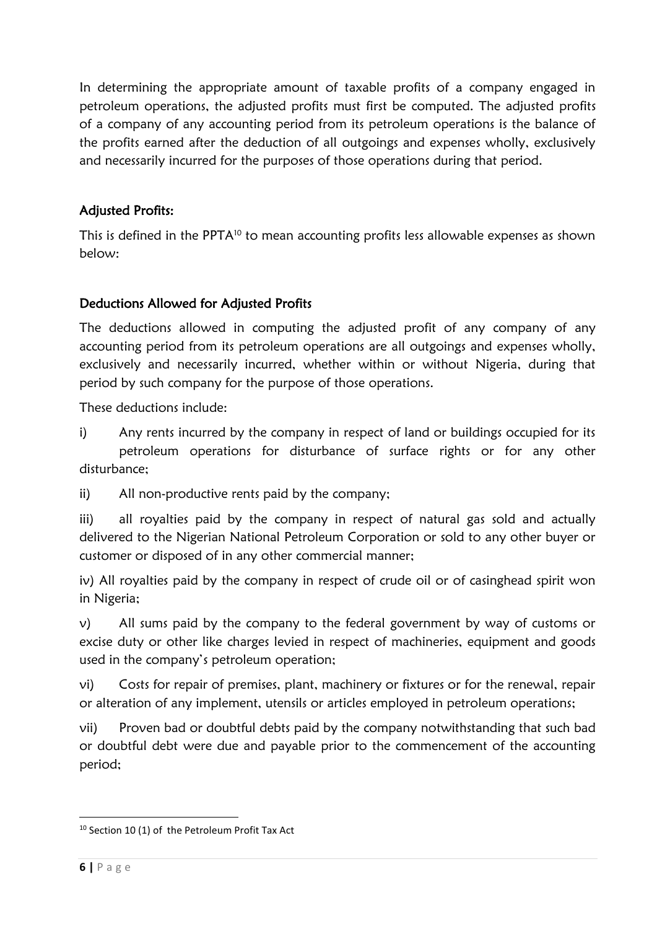In determining the appropriate amount of taxable profits of a company engaged in petroleum operations, the adjusted profits must first be computed. The adjusted profits of a company of any accounting period from its petroleum operations is the balance of the profits earned after the deduction of all outgoings and expenses wholly, exclusively and necessarily incurred for the purposes of those operations during that period.

#### Adjusted Profits:

This is defined in the PPTA<sup>10</sup> to mean accounting profits less allowable expenses as shown below:

#### Deductions Allowed for Adjusted Profits

The deductions allowed in computing the adjusted profit of any company of any accounting period from its petroleum operations are all outgoings and expenses wholly, exclusively and necessarily incurred, whether within or without Nigeria, during that period by such company for the purpose of those operations.

These deductions include:

i) Any rents incurred by the company in respect of land or buildings occupied for its petroleum operations for disturbance of surface rights or for any other disturbance;

ii) All non-productive rents paid by the company;

iii) all royalties paid by the company in respect of natural gas sold and actually delivered to the Nigerian National Petroleum Corporation or sold to any other buyer or customer or disposed of in any other commercial manner;

iv) All royalties paid by the company in respect of crude oil or of casinghead spirit won in Nigeria;

v) All sums paid by the company to the federal government by way of customs or excise duty or other like charges levied in respect of machineries, equipment and goods used in the company's petroleum operation;

vi) Costs for repair of premises, plant, machinery or fixtures or for the renewal, repair or alteration of any implement, utensils or articles employed in petroleum operations;

vii) Proven bad or doubtful debts paid by the company notwithstanding that such bad or doubtful debt were due and payable prior to the commencement of the accounting period;

1

<sup>10</sup> Section 10 (1) of the Petroleum Profit Tax Act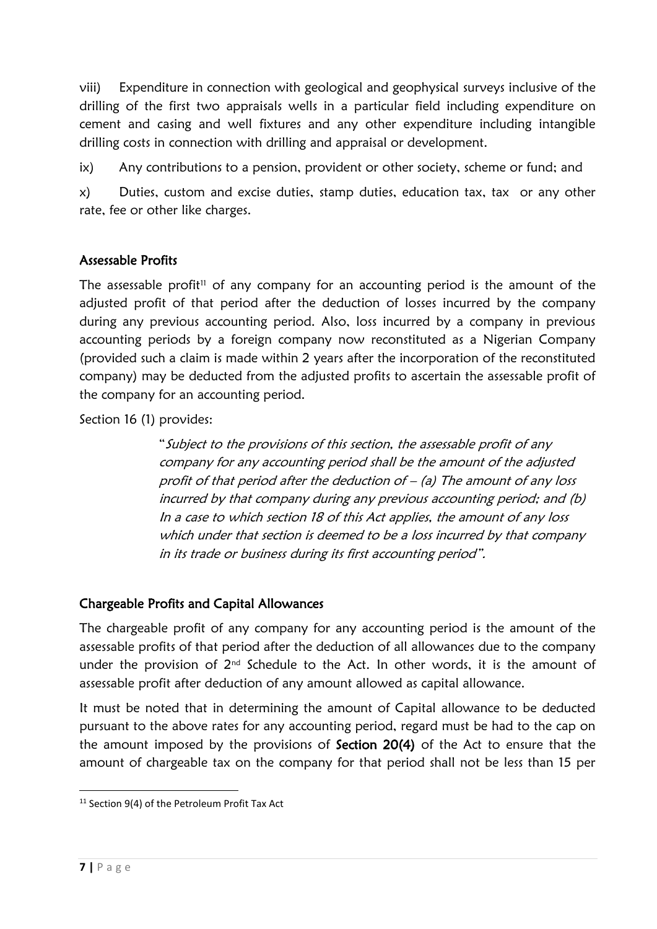viii) Expenditure in connection with geological and geophysical surveys inclusive of the drilling of the first two appraisals wells in a particular field including expenditure on cement and casing and well fixtures and any other expenditure including intangible drilling costs in connection with drilling and appraisal or development.

ix) Any contributions to a pension, provident or other society, scheme or fund; and

x) Duties, custom and excise duties, stamp duties, education tax, tax or any other rate, fee or other like charges.

#### Assessable Profits

The assessable profit<sup>11</sup> of any company for an accounting period is the amount of the adjusted profit of that period after the deduction of losses incurred by the company during any previous accounting period. Also, loss incurred by a company in previous accounting periods by a foreign company now reconstituted as a Nigerian Company (provided such a claim is made within 2 years after the incorporation of the reconstituted company) may be deducted from the adjusted profits to ascertain the assessable profit of the company for an accounting period.

Section 16 (1) provides:

"Subject to the provisions of this section, the assessable profit of any company for any accounting period shall be the amount of the adjusted profit of that period after the deduction of  $-$  (a) The amount of any loss incurred by that company during any previous accounting period; and (b) In a case to which section 18 of this Act applies, the amount of any loss which under that section is deemed to be a loss incurred by that company in its trade or business during its first accounting period".

#### Chargeable Profits and Capital Allowances

The chargeable profit of any company for any accounting period is the amount of the assessable profits of that period after the deduction of all allowances due to the company under the provision of  $2^{nd}$  Schedule to the Act. In other words, it is the amount of assessable profit after deduction of any amount allowed as capital allowance.

It must be noted that in determining the amount of Capital allowance to be deducted pursuant to the above rates for any accounting period, regard must be had to the cap on the amount imposed by the provisions of Section 20(4) of the Act to ensure that the amount of chargeable tax on the company for that period shall not be less than 15 per

**<sup>.</sup>** <sup>11</sup> Section 9(4) of the Petroleum Profit Tax Act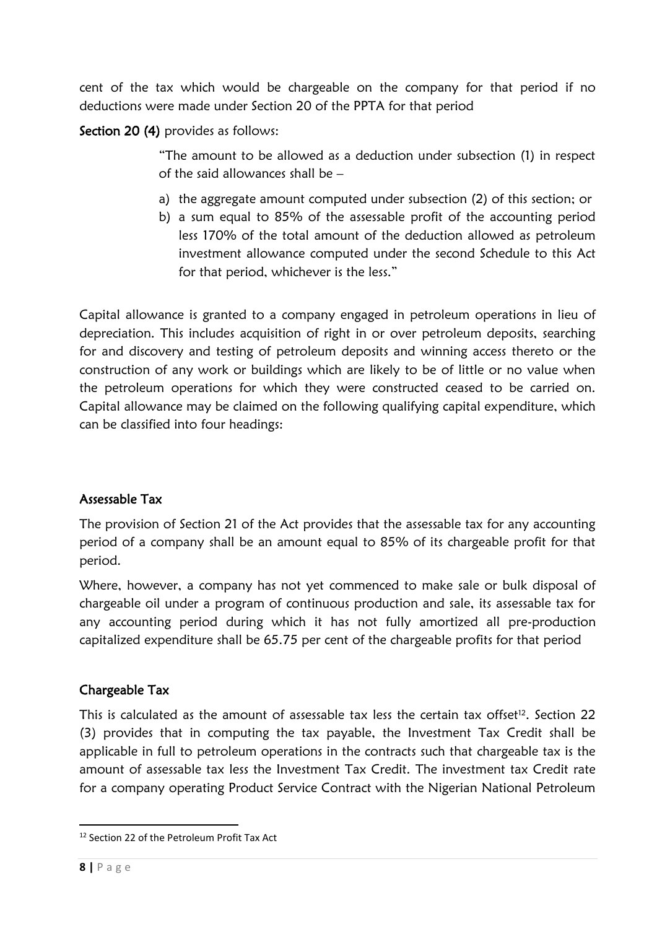cent of the tax which would be chargeable on the company for that period if no deductions were made under Section 20 of the PPTA for that period

Section 20 (4) provides as follows:

"The amount to be allowed as a deduction under subsection (1) in respect of the said allowances shall be –

- a) the aggregate amount computed under subsection (2) of this section; or
- b) a sum equal to 85% of the assessable profit of the accounting period less 170% of the total amount of the deduction allowed as petroleum investment allowance computed under the second Schedule to this Act for that period, whichever is the less."

Capital allowance is granted to a company engaged in petroleum operations in lieu of depreciation. This includes acquisition of right in or over petroleum deposits, searching for and discovery and testing of petroleum deposits and winning access thereto or the construction of any work or buildings which are likely to be of little or no value when the petroleum operations for which they were constructed ceased to be carried on. Capital allowance may be claimed on the following qualifying capital expenditure, which can be classified into four headings:

#### Assessable Tax

The provision of Section 21 of the Act provides that the assessable tax for any accounting period of a company shall be an amount equal to 85% of its chargeable profit for that period.

Where, however, a company has not yet commenced to make sale or bulk disposal of chargeable oil under a program of continuous production and sale, its assessable tax for any accounting period during which it has not fully amortized all pre-production capitalized expenditure shall be 65.75 per cent of the chargeable profits for that period

#### Chargeable Tax

This is calculated as the amount of assessable tax less the certain tax offset<sup>12</sup>. Section 22 (3) provides that in computing the tax payable, the Investment Tax Credit shall be applicable in full to petroleum operations in the contracts such that chargeable tax is the amount of assessable tax less the Investment Tax Credit. The investment tax Credit rate for a company operating Product Service Contract with the Nigerian National Petroleum

<sup>1</sup> <sup>12</sup> Section 22 of the Petroleum Profit Tax Act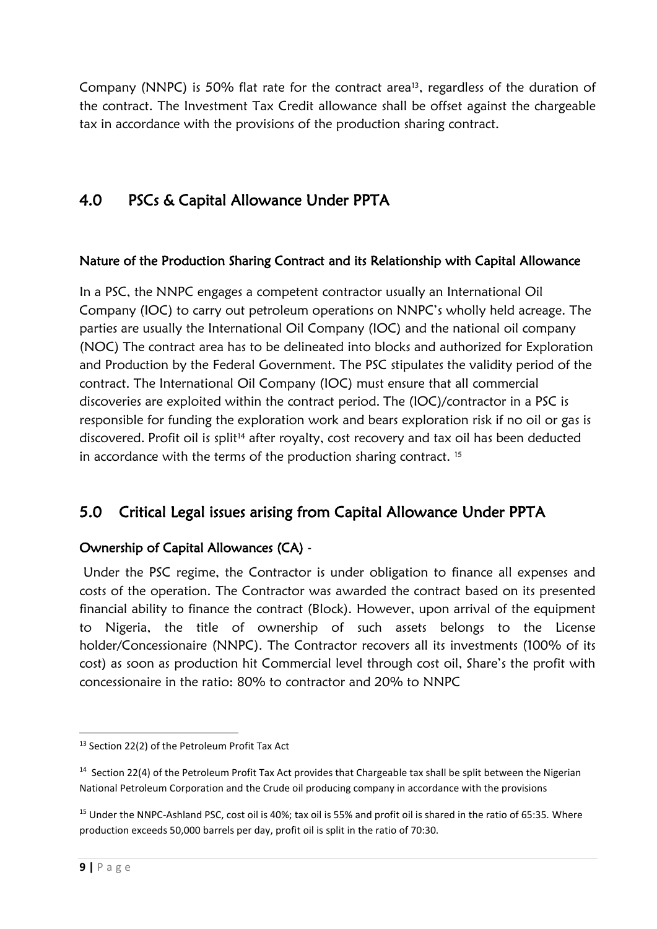Company (NNPC) is 50% flat rate for the contract area<sup>13</sup>, regardless of the duration of the contract. The Investment Tax Credit allowance shall be offset against the chargeable tax in accordance with the provisions of the production sharing contract.

# 4.0 PSCs & Capital Allowance Under PPTA

#### Nature of the Production Sharing Contract and its Relationship with Capital Allowance

In a PSC, the NNPC engages a competent contractor usually an International Oil Company (IOC) to carry out petroleum operations on NNPC's wholly held acreage. The parties are usually the International Oil Company (IOC) and the national oil company (NOC) The contract area has to be delineated into blocks and authorized for Exploration and Production by the Federal Government. The PSC stipulates the validity period of the contract. The International Oil Company (IOC) must ensure that all commercial discoveries are exploited within the contract period. The (IOC)/contractor in a PSC is responsible for funding the exploration work and bears exploration risk if no oil or gas is discovered. Profit oil is split<sup>14</sup> after royalty, cost recovery and tax oil has been deducted in accordance with the terms of the production sharing contract.<sup>15</sup>

## 5.0 Critical Legal issues arising from Capital Allowance Under PPTA

#### Ownership of Capital Allowances (CA) -

Under the PSC regime, the Contractor is under obligation to finance all expenses and costs of the operation. The Contractor was awarded the contract based on its presented financial ability to finance the contract (Block). However, upon arrival of the equipment to Nigeria, the title of ownership of such assets belongs to the License holder/Concessionaire (NNPC). The Contractor recovers all its investments (100% of its cost) as soon as production hit Commercial level through cost oil, Share's the profit with concessionaire in the ratio: 80% to contractor and 20% to NNPC

**<sup>.</sup>** <sup>13</sup> Section 22(2) of the Petroleum Profit Tax Act

<sup>&</sup>lt;sup>14</sup> Section 22(4) of the Petroleum Profit Tax Act provides that Chargeable tax shall be split between the Nigerian National Petroleum Corporation and the Crude oil producing company in accordance with the provisions

<sup>&</sup>lt;sup>15</sup> Under the NNPC-Ashland PSC, cost oil is 40%; tax oil is 55% and profit oil is shared in the ratio of 65:35. Where production exceeds 50,000 barrels per day, profit oil is split in the ratio of 70:30.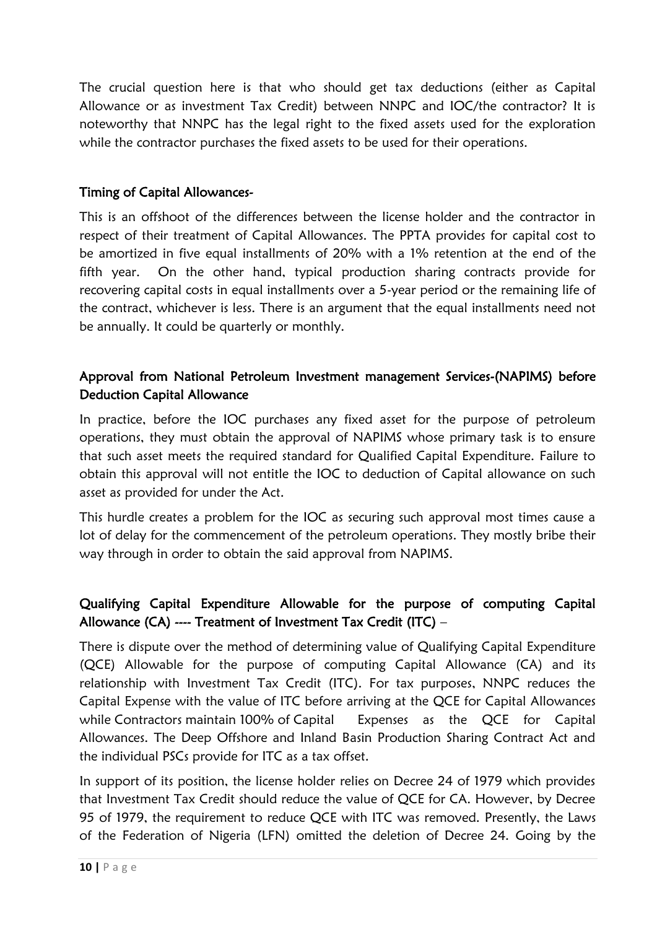The crucial question here is that who should get tax deductions (either as Capital Allowance or as investment Tax Credit) between NNPC and IOC/the contractor? It is noteworthy that NNPC has the legal right to the fixed assets used for the exploration while the contractor purchases the fixed assets to be used for their operations.

#### Timing of Capital Allowances-

This is an offshoot of the differences between the license holder and the contractor in respect of their treatment of Capital Allowances. The PPTA provides for capital cost to be amortized in five equal installments of 20% with a 1% retention at the end of the fifth year. On the other hand, typical production sharing contracts provide for recovering capital costs in equal installments over a 5-year period or the remaining life of the contract, whichever is less. There is an argument that the equal installments need not be annually. It could be quarterly or monthly.

#### Approval from National Petroleum Investment management Services-(NAPIMS) before Deduction Capital Allowance

In practice, before the IOC purchases any fixed asset for the purpose of petroleum operations, they must obtain the approval of NAPIMS whose primary task is to ensure that such asset meets the required standard for Qualified Capital Expenditure. Failure to obtain this approval will not entitle the IOC to deduction of Capital allowance on such asset as provided for under the Act.

This hurdle creates a problem for the IOC as securing such approval most times cause a lot of delay for the commencement of the petroleum operations. They mostly bribe their way through in order to obtain the said approval from NAPIMS.

#### Qualifying Capital Expenditure Allowable for the purpose of computing Capital Allowance (CA) ---- Treatment of Investment Tax Credit (ITC) –

There is dispute over the method of determining value of Qualifying Capital Expenditure (QCE) Allowable for the purpose of computing Capital Allowance (CA) and its relationship with Investment Tax Credit (ITC). For tax purposes, NNPC reduces the Capital Expense with the value of ITC before arriving at the QCE for Capital Allowances while Contractors maintain 100% of Capital Expenses as the QCE for Capital Allowances. The Deep Offshore and Inland Basin Production Sharing Contract Act and the individual PSCs provide for ITC as a tax offset.

In support of its position, the license holder relies on Decree 24 of 1979 which provides that Investment Tax Credit should reduce the value of QCE for CA. However, by Decree 95 of 1979, the requirement to reduce QCE with ITC was removed. Presently, the Laws of the Federation of Nigeria (LFN) omitted the deletion of Decree 24. Going by the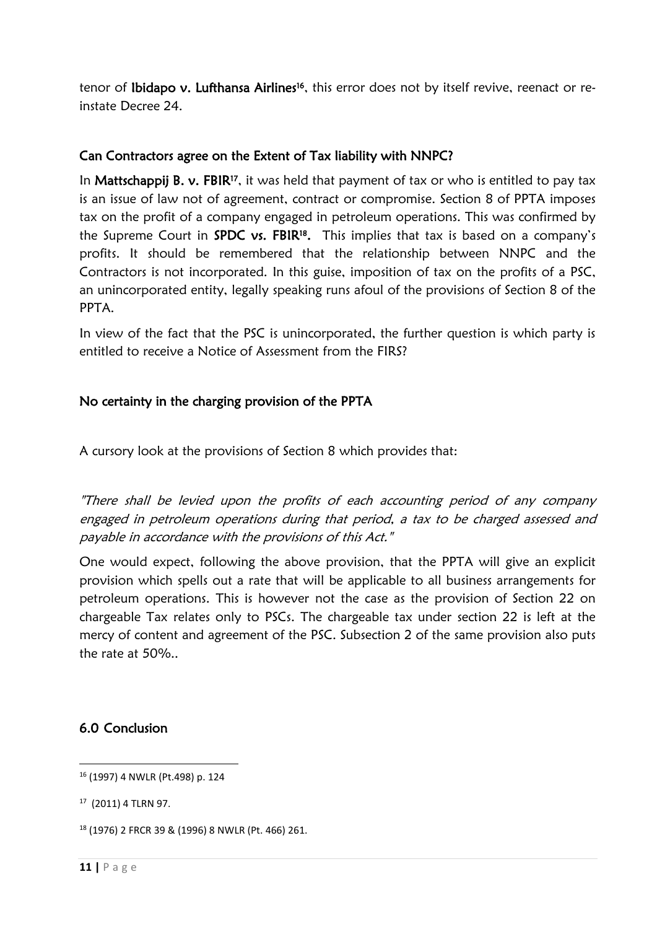tenor of **Ibidapo v. Lufthansa Airlines<sup>16</sup>**, this error does not by itself revive, reenact or reinstate Decree 24.

#### Can Contractors agree on the Extent of Tax liability with NNPC?

In Mattschappij B. v. FBIR<sup>17</sup>, it was held that payment of tax or who is entitled to pay tax is an issue of law not of agreement, contract or compromise. Section 8 of PPTA imposes tax on the profit of a company engaged in petroleum operations. This was confirmed by the Supreme Court in **SPDC vs. FBIR<sup>18</sup>.** This implies that tax is based on a company's profits. It should be remembered that the relationship between NNPC and the Contractors is not incorporated. In this guise, imposition of tax on the profits of a PSC, an unincorporated entity, legally speaking runs afoul of the provisions of Section 8 of the PPTA.

In view of the fact that the PSC is unincorporated, the further question is which party is entitled to receive a Notice of Assessment from the FIRS?

#### No certainty in the charging provision of the PPTA

A cursory look at the provisions of Section 8 which provides that:

"There shall be levied upon the profits of each accounting period of any company engaged in petroleum operations during that period, a tax to be charged assessed and payable in accordance with the provisions of this Act."

One would expect, following the above provision, that the PPTA will give an explicit provision which spells out a rate that will be applicable to all business arrangements for petroleum operations. This is however not the case as the provision of Section 22 on chargeable Tax relates only to PSCs. The chargeable tax under section 22 is left at the mercy of content and agreement of the PSC. Subsection 2 of the same provision also puts the rate at 50%..

#### 6.0 Conclusion

**<sup>.</sup>** <sup>16</sup> (1997) 4 NWLR (Pt.498) p. 124

<sup>17</sup> (2011) 4 TLRN 97.

<sup>18</sup> (1976) 2 FRCR 39 & (1996) 8 NWLR (Pt. 466) 261.